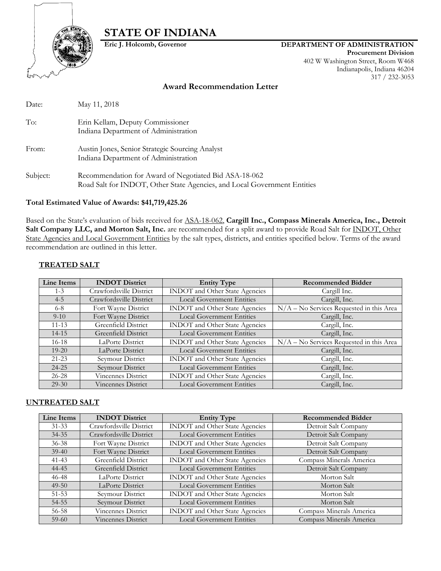

# **STATE OF INDIANA**

### **Eric J. Holcomb, Governor DEPARTMENT OF ADMINISTRATION**

**Procurement Division** 402 W Washington Street, Room W468 Indianapolis, Indiana 46204 317 / 232-3053

### **Award Recommendation Letter**

| Date:    | May 11, 2018                                                                                                                      |
|----------|-----------------------------------------------------------------------------------------------------------------------------------|
| To:      | Erin Kellam, Deputy Commissioner<br>Indiana Department of Administration                                                          |
| From:    | Austin Jones, Senior Strategic Sourcing Analyst<br>Indiana Department of Administration                                           |
| Subject: | Recommendation for Award of Negotiated Bid ASA-18-062<br>Road Salt for INDOT, Other State Agencies, and Local Government Entities |

### **Total Estimated Value of Awards: \$41,719,425.26**

Based on the State's evaluation of bids received for ASA-18-062, **Cargill Inc., Compass Minerals America, Inc., Detroit Salt Company LLC, and Morton Salt, Inc.** are recommended for a split award to provide Road Salt for INDOT, Other State Agencies and Local Government Entities by the salt types, districts, and entities specified below. Terms of the award recommendation are outlined in this letter.

### **TREATED SALT**

| Line Items | <b>INDOT</b> District   | <b>Entity Type</b>                    | <b>Recommended Bidder</b>                                           |  |  |
|------------|-------------------------|---------------------------------------|---------------------------------------------------------------------|--|--|
| $1 - 3$    | Crawfordsville District | <b>INDOT</b> and Other State Agencies | Cargill Inc.                                                        |  |  |
| $4 - 5$    | Crawfordsville District | <b>Local Government Entities</b>      | Cargill, Inc.                                                       |  |  |
| $6 - 8$    | Fort Wayne District     | <b>INDOT</b> and Other State Agencies | N/A - No Services Requested in this Area                            |  |  |
| $9 - 10$   | Fort Wayne District     | <b>Local Government Entities</b>      | Cargill, Inc.                                                       |  |  |
| $11 - 13$  | Greenfield District     | <b>INDOT</b> and Other State Agencies | Cargill, Inc.                                                       |  |  |
| $14 - 15$  | Greenfield District     | <b>Local Government Entities</b>      | Cargill, Inc.                                                       |  |  |
| $16-18$    | LaPorte District        | INDOT and Other State Agencies        | $\overline{\text{N/A}} - \text{No Services Requested in this Area}$ |  |  |
| $19 - 20$  | LaPorte District        | <b>Local Government Entities</b>      | Cargill, Inc.                                                       |  |  |
| $21 - 23$  | Seymour District        | INDOT and Other State Agencies        | Cargill, Inc.                                                       |  |  |
| $24 - 25$  | Seymour District        | <b>Local Government Entities</b>      | Cargill, Inc.                                                       |  |  |
| $26 - 28$  | Vincennes District      | <b>INDOT</b> and Other State Agencies | Cargill, Inc.                                                       |  |  |
| $29 - 30$  | Vincennes District      | <b>Local Government Entities</b>      | Cargill, Inc.                                                       |  |  |

### **UNTREATED SALT**

| <b>Line Items</b> | <b>INDOT</b> District   | <b>Entity Type</b>                    | <b>Recommended Bidder</b> |
|-------------------|-------------------------|---------------------------------------|---------------------------|
| $31 - 33$         | Crawfordsville District | INDOT and Other State Agencies        | Detroit Salt Company      |
| $34 - 35$         | Crawfordsville District | <b>Local Government Entities</b>      | Detroit Salt Company      |
| $36 - 38$         | Fort Wayne District     | <b>INDOT</b> and Other State Agencies | Detroit Salt Company      |
| $39-40$           | Fort Wayne District     | <b>Local Government Entities</b>      | Detroit Salt Company      |
| $41 - 43$         | Greenfield District     | <b>INDOT</b> and Other State Agencies | Compass Minerals America  |
| 44-45             | Greenfield District     | <b>Local Government Entities</b>      | Detroit Salt Company      |
| $46 - 48$         | LaPorte District        | <b>INDOT</b> and Other State Agencies | Morton Salt               |
| $49 - 50$         | LaPorte District        | <b>Local Government Entities</b>      | Morton Salt               |
| $51 - 53$         | Seymour District        | <b>INDOT</b> and Other State Agencies | Morton Salt               |
| 54-55             | Seymour District        | <b>Local Government Entities</b>      | Morton Salt               |
| 56-58             | Vincennes District      | <b>INDOT</b> and Other State Agencies | Compass Minerals America  |
| $59-60$           | Vincennes District      | <b>Local Government Entities</b>      | Compass Minerals America  |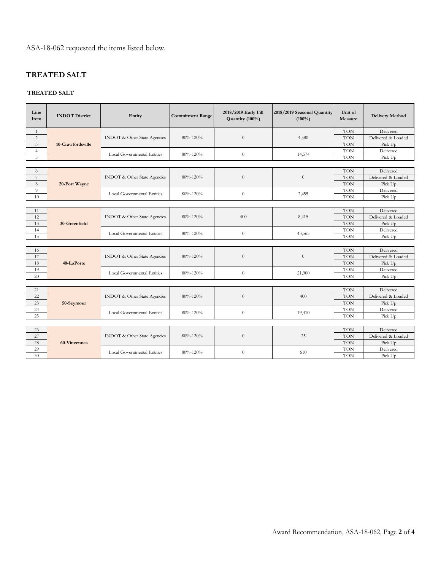ASA-18-062 requested the items listed below.

## **TREATED SALT**

### **TREATED SALT**

| Line<br>Item   | <b>INDOT</b> District | Entity                                               | <b>Commitment Range</b> | 2018/2019 Early Fill<br>Quantity (100%) | 2018/2019 Seasonal Quantity<br>$(100\%)$ | Unit of<br>Measure | <b>Delivery Method</b> |
|----------------|-----------------------|------------------------------------------------------|-------------------------|-----------------------------------------|------------------------------------------|--------------------|------------------------|
| 1              |                       |                                                      |                         |                                         |                                          | <b>TON</b>         | Delivered              |
| 2              |                       | <b>INDOT</b> & Other State Agencies                  | 80%-120%                | $\theta$                                | 4,580                                    | <b>TON</b>         | Delivered & Loaded     |
| $\mathfrak{Z}$ | 10-Crawfordsville     |                                                      |                         |                                         |                                          | <b>TON</b>         | Pick Up                |
| $\overline{4}$ |                       | <b>Local Governmental Entities</b>                   | 80%-120%                | $\theta$                                | 14,574                                   | <b>TON</b>         | Delivered              |
| 5              |                       |                                                      |                         |                                         |                                          | <b>TON</b>         | Pick Up                |
|                |                       |                                                      |                         |                                         |                                          |                    |                        |
| 6              |                       |                                                      |                         |                                         |                                          | <b>TON</b>         | Delivered              |
| $\overline{7}$ |                       | <b>INDOT</b> & Other State Agencies                  | 80%-120%                | $\theta$                                | $\overline{0}$                           | <b>TON</b>         | Delivered & Loaded     |
| 8              | 20-Fort Wayne         |                                                      |                         |                                         |                                          | <b>TON</b>         | Pick Up                |
| 9              |                       | <b>Local Governmental Entities</b>                   |                         |                                         | 2,455                                    | <b>TON</b>         | Delivered              |
| 10             |                       |                                                      | 80%-120%                | $\theta$                                |                                          | <b>TON</b>         | Pick Up                |
|                |                       |                                                      |                         |                                         |                                          |                    |                        |
| 11             |                       |                                                      |                         |                                         |                                          | <b>TON</b>         | Delivered              |
| 12             |                       | <b>INDOT</b> & Other State Agencies                  | 80%-120%                | 400                                     | 8,415                                    | <b>TON</b>         | Delivered & Loaded     |
| 13             | 30-Greenfield         |                                                      |                         |                                         |                                          | <b>TON</b>         | Pick Up                |
| 14             |                       | Local Governmental Entities                          | 80%-120%                | $\theta$                                | 43,565                                   | <b>TON</b>         | Delivered              |
| 15             |                       |                                                      |                         |                                         |                                          | <b>TON</b>         | Pick Up                |
|                |                       |                                                      |                         |                                         |                                          |                    |                        |
| 16             |                       |                                                      |                         | $\theta$                                | $\theta$                                 | <b>TON</b>         | Delivered              |
| 17             |                       | <b>INDOT</b> & Other State Agencies                  | 80%-120%                |                                         |                                          | <b>TON</b>         | Delivered & Loaded     |
| 18             | 40-LaPorte            |                                                      |                         | <b>TON</b>                              | Pick Up                                  |                    |                        |
| 19             |                       | <b>Local Governmental Entities</b>                   | 80%-120%                | $\theta$                                | 21,900                                   | <b>TON</b>         | Delivered              |
| 20             |                       |                                                      |                         |                                         |                                          | <b>TON</b>         | Pick Up                |
|                |                       |                                                      |                         |                                         |                                          |                    |                        |
| 21             |                       |                                                      |                         |                                         | 400                                      | <b>TON</b>         | Delivered              |
| 22             |                       | <b>INDOT</b> & Other State Agencies                  | 80%-120%                | $\theta$                                |                                          | <b>TON</b>         | Delivered & Loaded     |
| 23             | 50-Seymour            |                                                      |                         |                                         |                                          | <b>TON</b>         | Pick Up                |
| 24             |                       | <b>Local Governmental Entities</b><br>80%-120%       | $\theta$                | 19,410                                  | <b>TON</b>                               | Delivered          |                        |
| 25             |                       |                                                      |                         |                                         |                                          | <b>TON</b>         | Pick Up                |
|                |                       |                                                      |                         |                                         |                                          |                    |                        |
| 26             |                       |                                                      |                         | $\theta$                                | 25                                       | <b>TON</b>         | Delivered              |
| 27             |                       | <b>INDOT</b> & Other State Agencies                  | 80%-120%                |                                         |                                          | <b>TON</b>         | Delivered & Loaded     |
| 28             | 60-Vincennes          |                                                      |                         |                                         |                                          | <b>TON</b>         | Pick Up                |
| 29             |                       | <b>Local Governmental Entities</b><br>$80\% - 120\%$ |                         | $\theta$                                | 610                                      | <b>TON</b>         | Delivered              |
| 30             |                       |                                                      |                         |                                         | <b>TON</b>                               | Pick Up            |                        |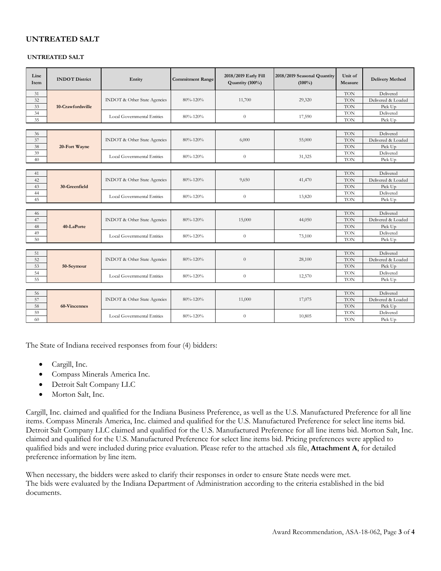### **UNTREATED SALT**

#### **UNTREATED SALT**

| Line<br>Item | <b>INDOT</b> District | Entity                              | <b>Commitment Range</b> | 2018/2019 Early Fill<br>Quantity (100%) | 2018/2019 Seasonal Quantity<br>$(100\%)$ | Unit of<br>Measure | <b>Delivery Method</b> |  |  |
|--------------|-----------------------|-------------------------------------|-------------------------|-----------------------------------------|------------------------------------------|--------------------|------------------------|--|--|
| 31           |                       |                                     |                         |                                         |                                          | <b>TON</b>         | Delivered              |  |  |
| 32           |                       | <b>INDOT</b> & Other State Agencies | 80%-120%                | 11,700                                  | 29,320                                   | <b>TON</b>         | Delivered & Loaded     |  |  |
| 33           | 10-Crawfordsville     |                                     |                         |                                         |                                          | <b>TON</b>         | Pick Up                |  |  |
| 34           |                       |                                     |                         |                                         |                                          | <b>TON</b>         | Delivered              |  |  |
| 35           |                       | <b>Local Governmental Entities</b>  | 80%-120%                | $\theta$                                | 17,590                                   | <b>TON</b>         | Pick Up                |  |  |
|              |                       |                                     |                         |                                         |                                          |                    |                        |  |  |
| 36           |                       |                                     |                         |                                         |                                          | <b>TON</b>         | Delivered              |  |  |
| 37           |                       | <b>INDOT</b> & Other State Agencies | $80\% - 120\%$          | 6,000                                   | 55,000                                   | <b>TON</b>         | Delivered & Loaded     |  |  |
| 38           | 20-Fort Wayne         |                                     |                         |                                         |                                          | <b>TON</b>         | Pick Up                |  |  |
| 39           |                       |                                     |                         |                                         |                                          | <b>TON</b>         | Delivered              |  |  |
| 40           |                       | <b>Local Governmental Entities</b>  | 80%-120%                | $\theta$                                | 31,325                                   | <b>TON</b>         | Pick Up                |  |  |
|              |                       |                                     |                         |                                         |                                          |                    |                        |  |  |
| 41           |                       | <b>INDOT</b> & Other State Agencies | 80%-120%                | 9,650                                   | 41,470                                   | <b>TON</b>         | Delivered              |  |  |
| 42           |                       |                                     |                         |                                         |                                          | <b>TON</b>         | Delivered & Loaded     |  |  |
| 43           | 30-Greenfield         |                                     |                         |                                         |                                          | <b>TON</b>         | Pick Up                |  |  |
| 44           |                       |                                     |                         | $\theta$                                | 13,820                                   | <b>TON</b>         | Delivered              |  |  |
| 45           |                       | <b>Local Governmental Entities</b>  | 80%-120%                |                                         |                                          | <b>TON</b>         | Pick Up                |  |  |
|              |                       |                                     |                         |                                         |                                          |                    |                        |  |  |
| 46           |                       | <b>INDOT</b> & Other State Agencies | $80\% - 120\%$          | 15,000                                  | 44,050                                   | <b>TON</b>         | Delivered              |  |  |
| 47           |                       |                                     |                         |                                         |                                          | <b>TON</b>         | Delivered & Loaded     |  |  |
| 48           | 40-LaPorte            |                                     |                         |                                         |                                          | <b>TON</b>         | Pick Up                |  |  |
| 49           |                       | Local Governmental Entities         | 80%-120%                | $\theta$                                | 73,100                                   | <b>TON</b>         | Delivered              |  |  |
| 50           |                       |                                     |                         |                                         |                                          | <b>TON</b>         | Pick Up                |  |  |
|              |                       |                                     |                         |                                         |                                          |                    |                        |  |  |
| 51           |                       | <b>INDOT</b> & Other State Agencies | 80%-120%                | $\overline{0}$                          | 28,100                                   | <b>TON</b>         | Delivered              |  |  |
| 52           |                       |                                     |                         |                                         |                                          | <b>TON</b>         | Delivered & Loaded     |  |  |
| 53           | 50-Seymour            |                                     |                         |                                         |                                          | <b>TON</b>         | Pick Up                |  |  |
| 54           |                       | Local Governmental Entities         |                         | $\theta$                                | 12,570                                   | <b>TON</b>         | Delivered              |  |  |
| 55           |                       |                                     | 80%-120%                |                                         |                                          | <b>TON</b>         | Pick Up                |  |  |
|              |                       |                                     |                         |                                         |                                          |                    |                        |  |  |
| 56           |                       |                                     |                         | 11,000                                  | 17,075                                   | <b>TON</b>         | Delivered              |  |  |
| 57           |                       | <b>INDOT</b> & Other State Agencies | $80\% - 120\%$          |                                         |                                          | <b>TON</b>         | Delivered & Loaded     |  |  |
| 58           | 60-Vincennes          |                                     |                         |                                         |                                          | <b>TON</b>         | Pick Up                |  |  |
| 59           |                       | <b>Local Governmental Entities</b>  | 80%-120%                | $\theta$                                | 10,805                                   | <b>TON</b>         | Delivered              |  |  |
| 60           |                       |                                     |                         |                                         |                                          | <b>TON</b>         | Pick Up                |  |  |

The State of Indiana received responses from four (4) bidders:

- Cargill, Inc.
- Compass Minerals America Inc.
- Detroit Salt Company LLC
- Morton Salt, Inc.

Cargill, Inc. claimed and qualified for the Indiana Business Preference, as well as the U.S. Manufactured Preference for all line items. Compass Minerals America, Inc. claimed and qualified for the U.S. Manufactured Preference for select line items bid. Detroit Salt Company LLC claimed and qualified for the U.S. Manufactured Preference for all line items bid. Morton Salt, Inc. claimed and qualified for the U.S. Manufactured Preference for select line items bid. Pricing preferences were applied to qualified bids and were included during price evaluation. Please refer to the attached .xls file, **Attachment A**, for detailed preference information by line item.

When necessary, the bidders were asked to clarify their responses in order to ensure State needs were met. The bids were evaluated by the Indiana Department of Administration according to the criteria established in the bid documents.